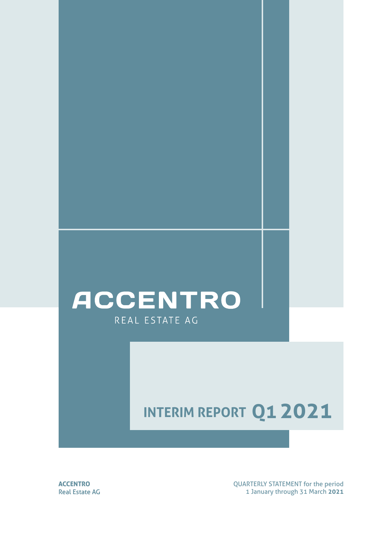## **ACCENTRO** REAL ESTATE AG

## **INTERIM REPORT Q12021**

**ACCENTRO** Real Estate AG QUARTERLY STATEMENT for the period 1 January through 31 March **2021**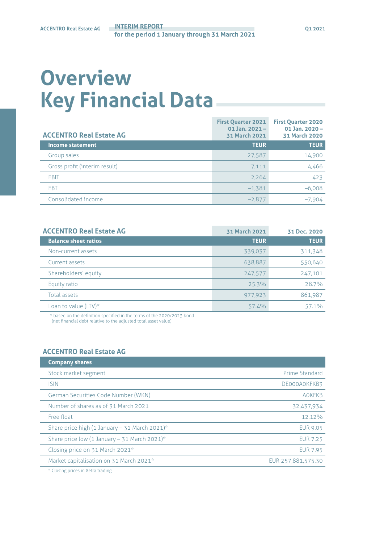## **Overview Key Financial Data**

| <b>ACCENTRO Real Estate AG</b> | <b>First Quarter 2021</b><br>01 Jan. $2021 -$<br>31 March 2021 | <b>First Ouarter 2020</b><br>01 Jan. $2020 -$<br>31 March 2020 |
|--------------------------------|----------------------------------------------------------------|----------------------------------------------------------------|
| <b>Income statement</b>        | <b>TEUR</b>                                                    | <b>TEUR</b>                                                    |
| Group sales                    | 27,587                                                         | 14,900                                                         |
| Gross profit (interim result)  | 7,111                                                          | 4,466                                                          |
| <b>EBIT</b>                    | 2,264                                                          | 423                                                            |
| <b>FBT</b>                     | $-1,381$                                                       | $-6.008$                                                       |
| Consolidated income            | $-2,877$                                                       | $-7.904$                                                       |

| <b>ACCENTRO Real Estate AG</b> | 31 March 2021 | 31 Dec. 2020 |
|--------------------------------|---------------|--------------|
| <b>Balance sheet ratios</b>    | <b>TEUR</b>   | <b>TEUR</b>  |
| Non-current assets             | 339,037       | 311,348      |
| Current assets                 | 638,887       | 550,640      |
| Shareholders' equity           | 247,577       | 247,101      |
| Equity ratio                   | 25.3%         | 28.7%        |
| Total assets                   | 977,923       | 861,987      |
| Loan to value (LTV)*           | 57.4%         | 57.1%        |

\* based on the definition specified in the terms of the 2020/2023 bond

(net financial debt relative to the adjusted total asset value)

### **ACCENTRO Real Estate AG**

| <b>Company shares</b>                          |                    |
|------------------------------------------------|--------------------|
| Stock market segment                           | Prime Standard     |
| <b>ISIN</b>                                    | DE000A0KFKB3       |
| German Securities Code Number (WKN)            | <b>AOKFKB</b>      |
| Number of shares as of 31 March 2021           | 32,437,934         |
| Free float                                     | 12.12%             |
| Share price high (1 January - 31 March 2021)*  | <b>EUR 9.05</b>    |
| Share price low (1 January $-$ 31 March 2021)* | <b>EUR 7.25</b>    |
| Closing price on 31 March 2021*                | <b>EUR 7.95</b>    |
| Market capitalisation on 31 March 2021*        | EUR 257,881,575.30 |
|                                                |                    |

\* Closing prices in Xetra trading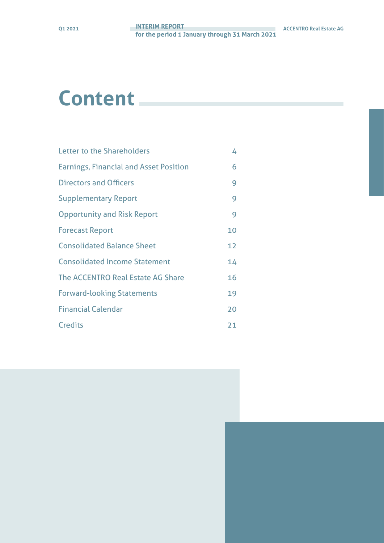**Q1 2021 INTERIM REPORT ACCENTRO Real Estate AG for the period 1 January through 31 March 2021**

## **Content**

| <b>Letter to the Shareholders</b>             | 4  |
|-----------------------------------------------|----|
| <b>Earnings, Financial and Asset Position</b> | 6  |
| <b>Directors and Officers</b>                 | 9  |
| <b>Supplementary Report</b>                   | 9  |
| <b>Opportunity and Risk Report</b>            | 9  |
| <b>Forecast Report</b>                        | 10 |
| <b>Consolidated Balance Sheet</b>             | 12 |
| <b>Consolidated Income Statement</b>          | 14 |
| The ACCENTRO Real Estate AG Share             | 16 |
| <b>Forward-looking Statements</b>             | 19 |
| <b>Financial Calendar</b>                     | 20 |
| <b>Credits</b>                                | 21 |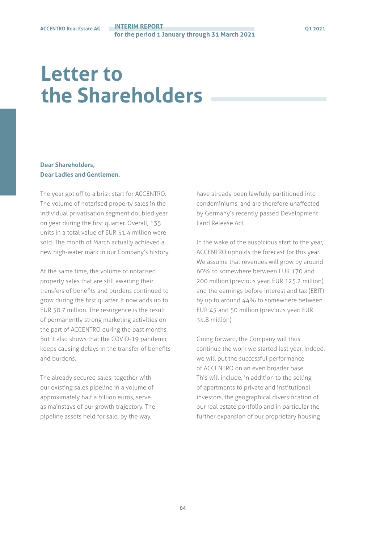## <span id="page-3-0"></span>**Letter to the Shareholders**

### **Dear Shareholders, Dear Ladies and Gentlemen,**

The year got off to a brisk start for ACCENTRO. The volume of notarised property sales in the individual privatisation segment doubled year on year during the first quarter. Overall, 135 units in a total value of EUR 51.4 million were sold. The month of March actually achieved a new high-water mark in our Company's history.

At the same time, the volume of notarised property sales that are still awaiting their transfers of benefits and burdens continued to grow during the first quarter. It now adds up to EUR 50.7 million. The resurgence is the result of permanently strong marketing activities on the part of ACCENTRO during the past months. But it also shows that the COVID-19 pandemic keeps causing delays in the transfer of benefits and burdens.

The already secured sales, together with our existing sales pipeline in a volume of approximately half a billion euros, serve as mainstays of our growth trajectory. The pipeline assets held for sale, by the way,

have already been lawfully partitioned into condominiums, and are therefore unaffected by Germany's recently passed Development Land Release Act.

In the wake of the auspicious start to the year, ACCENTRO upholds the forecast for this year. We assume that revenues will grow by around 60% to somewhere between EUR 170 and 200 million (previous year: EUR 125.2 million) and the earnings before interest and tax (EBIT) by up to around 44% to somewhere between EUR 45 and 50 million (previous year: EUR 34.8 million).

Going forward, the Company will thus continue the work we started last year. Indeed, we will put the successful performance of ACCENTRO on an even broader base. This will include, in addition to the selling of apartments to private and institutional investors, the geographical diversification of our real estate portfolio and in particular the further expansion of our proprietary housing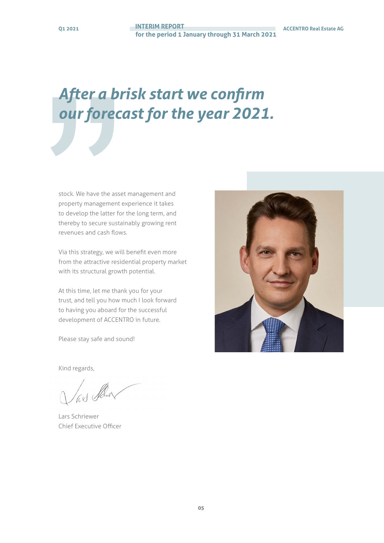## *After a brisk start we confirm our forecast for the year 2021.*

stock. We have the asset management and property management experience it takes to develop the latter for the long term, and thereby to secure sustainably growing rent revenues and cash flows.

Via this strategy, we will benefit even more from the attractive residential property market with its structural growth potential.

At this time, let me thank you for your trust, and tell you how much I look forward to having you aboard for the successful development of ACCENTRO in future.

Please stay safe and sound!

Kind regards,

las Solva

Lars Schriewer Chief Executive Officer

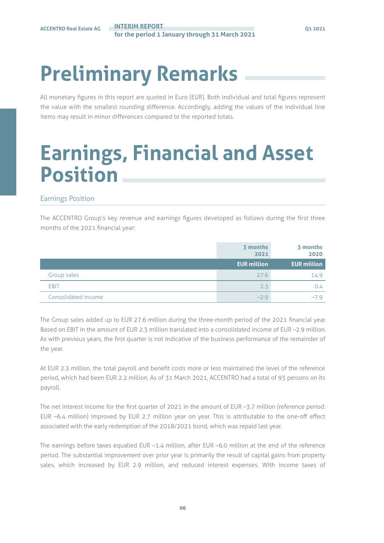# **Preliminary Remarks**

All monetary figures in this report are quoted in Euro (EUR). Both individual and total figures represent the value with the smallest rounding difference. Accordingly, adding the values of the individual line items may result in minor differences compared to the reported totals.

## <span id="page-5-0"></span>**Earnings, Financial and Asset Position**

### Earnings Position

The ACCENTRO Group's key revenue and earnings figures developed as follows during the first three months of the 2021 financial year:

|                     | 3 months<br>2021   | 3 months<br>2020   |
|---------------------|--------------------|--------------------|
|                     | <b>EUR million</b> | <b>EUR million</b> |
| Group sales         | 27.6               | 14.9               |
| <b>EBIT</b>         | 2.3                | 0.4                |
| Consolidated income | $-2.9$             | $-7.9$             |

The Group sales added up to EUR 27.6 million during the three-month period of the 2021 financial year. Based on EBIT in the amount of EUR 2.3 million translated into a consolidated income of EUR –2.9 million. As with previous years, the first quarter is not indicative of the business performance of the remainder of the year.

At EUR 2.3 million, the total payroll and benefit costs more or less maintained the level of the reference period, which had been EUR 2.2 million. As of 31 March 2021, ACCENTRO had a total of 93 persons on its payroll.

The net interest income for the first quarter of 2021 in the amount of EUR –3.7 million (reference period: EUR –6.4 million) improved by EUR 2.7 million year on year. This is attributable to the one-off effect associated with the early redemption of the 2018/2021 bond, which was repaid last year.

The earnings before taxes equalled EUR –1.4 million, after EUR –6.0 million at the end of the reference period. The substantial improvement over prior year is primarily the result of capital gains from property sales, which increased by EUR 2.9 million, and reduced interest expenses. With income taxes of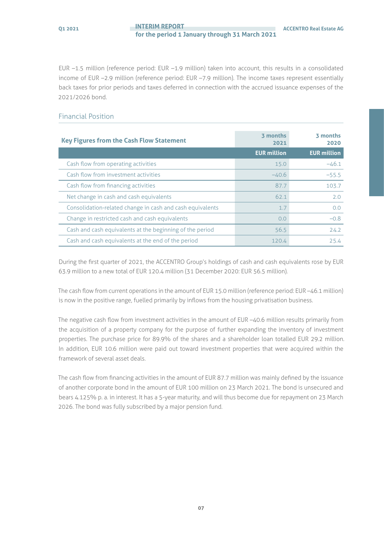EUR –1.5 million (reference period: EUR –1.9 million) taken into account, this results in a consolidated income of EUR –2.9 million (reference period: EUR –7.9 million). The income taxes represent essentially back taxes for prior periods and taxes deferred in connection with the accrued issuance expenses of the 2021/2026 bond.

### Financial Position

| <b>Key Figures from the Cash Flow Statement</b>           | 3 months<br>2021   | 3 months<br>2020   |
|-----------------------------------------------------------|--------------------|--------------------|
|                                                           | <b>EUR million</b> | <b>EUR million</b> |
| Cash flow from operating activities                       | 15.0               | $-46.1$            |
| Cash flow from investment activities                      | $-40.6$            | $-55.5$            |
| Cash flow from financing activities                       | 87.7               | 103.7              |
| Net change in cash and cash equivalents                   | 62.1               | 2.0                |
| Consolidation-related change in cash and cash equivalents | 1.7                | 0.0                |
| Change in restricted cash and cash equivalents            | 0.0                | $-0.8$             |
| Cash and cash equivalents at the beginning of the period  | 56.5               | 24.2               |
| Cash and cash equivalents at the end of the period        | 120.4              | 25.4               |

During the first quarter of 2021, the ACCENTRO Group's holdings of cash and cash equivalents rose by EUR 63.9 million to a new total of EUR 120.4 million (31 December 2020: EUR 56.5 million).

The cash flow from current operations in the amount of EUR 15.0 million (reference period: EUR –46.1 million) is now in the positive range, fuelled primarily by inflows from the housing privatisation business.

The negative cash flow from investment activities in the amount of EUR –40.6 million results primarily from the acquisition of a property company for the purpose of further expanding the inventory of investment properties. The purchase price for 89.9% of the shares and a shareholder loan totalled EUR 29.2 million. In addition, EUR 10.6 million were paid out toward investment properties that were acquired within the framework of several asset deals.

The cash flow from financing activities in the amount of EUR 87.7 million was mainly defined by the issuance of another corporate bond in the amount of EUR 100 million on 23 March 2021. The bond is unsecured and bears 4.125% p. a. in interest. It has a 5-year maturity, and will thus become due for repayment on 23 March 2026. The bond was fully subscribed by a major pension fund.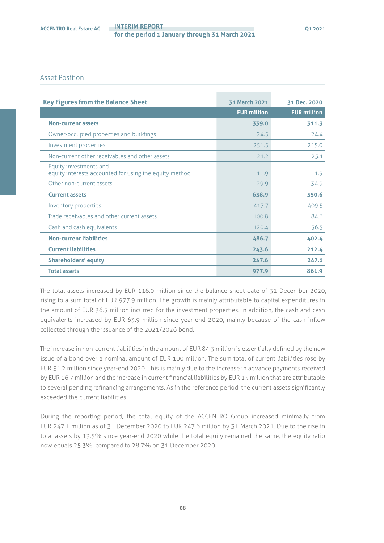### Asset Position

| <b>Key Figures from the Balance Sheet</b>                                        | 31 March 2021      | 31 Dec. 2020       |
|----------------------------------------------------------------------------------|--------------------|--------------------|
|                                                                                  | <b>EUR million</b> | <b>EUR million</b> |
| <b>Non-current assets</b>                                                        | 339.0              | 311.3              |
| Owner-occupied properties and buildings                                          | 24.5               | 24.4               |
| Investment properties                                                            | 251.5              | 215.0              |
| Non-current other receivables and other assets                                   | 21.2               | 25.1               |
| Equity investments and<br>equity interests accounted for using the equity method | 11.9               | 11.9               |
| Other non-current assets                                                         | 29.9               | 34.9               |
| <b>Current assets</b>                                                            | 638.9              | 550.6              |
| Inventory properties                                                             | 417.7              | 409.5              |
| Trade receivables and other current assets                                       | 100.8              | 84.6               |
| Cash and cash equivalents                                                        | 120.4              | 56.5               |
| <b>Non-current liabilities</b>                                                   | 486.7              | 402.4              |
| <b>Current liabilities</b>                                                       | 243.6              | 212.4              |
| <b>Shareholders' equity</b>                                                      | 247.6              | 247.1              |
| <b>Total assets</b>                                                              | 977.9              | 861.9              |

The total assets increased by EUR 116.0 million since the balance sheet date of 31 December 2020, rising to a sum total of EUR 977.9 million. The growth is mainly attributable to capital expenditures in the amount of EUR 36.5 million incurred for the investment properties. In addition, the cash and cash equivalents increased by EUR 63.9 million since year-end 2020, mainly because of the cash inflow collected through the issuance of the 2021/2026 bond.

The increase in non-current liabilities in the amount of EUR 84.3 million is essentially defined by the new issue of a bond over a nominal amount of EUR 100 million. The sum total of current liabilities rose by EUR 31.2 million since year-end 2020. This is mainly due to the increase in advance payments received by EUR 16.7 million and the increase in current financial liabilities by EUR 15 million that are attributable to several pending refinancing arrangements. As in the reference period, the current assets significantly exceeded the current liabilities.

During the reporting period, the total equity of the ACCENTRO Group increased minimally from EUR 247.1 million as of 31 December 2020 to EUR 247.6 million by 31 March 2021. Due to the rise in total assets by 13.5% since year-end 2020 while the total equity remained the same, the equity ratio now equals 25.3%, compared to 28.7% on 31 December 2020.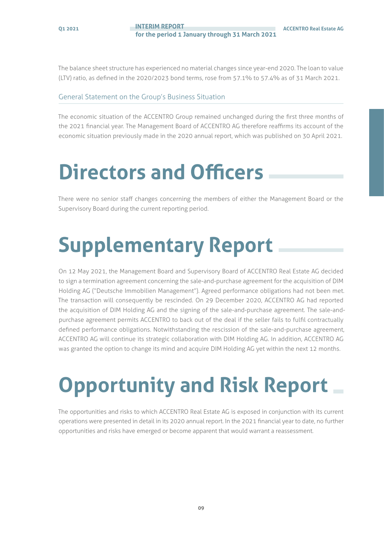The balance sheet structure has experienced no material changes since year-end 2020. The loan to value (LTV) ratio, as defined in the 2020/2023 bond terms, rose from 57.1% to 57.4% as of 31 March 2021.

### General Statement on the Group's Business Situation

The economic situation of the ACCENTRO Group remained unchanged during the first three months of the 2021 financial year. The Management Board of ACCENTRO AG therefore reaffirms its account of the economic situation previously made in the 2020 annual report, which was published on 30 April 2021.

## <span id="page-8-0"></span>**Directors and Officers**

There were no senior staff changes concerning the members of either the Management Board or the Supervisory Board during the current reporting period.

## <span id="page-8-1"></span>**Supplementary Report**

On 12 May 2021, the Management Board and Supervisory Board of ACCENTRO Real Estate AG decided to sign a termination agreement concerning the sale-and-purchase agreement for the acquisition of DIM Holding AG ("Deutsche Immobilien Management"). Agreed performance obligations had not been met. The transaction will consequently be rescinded. On 29 December 2020, ACCENTRO AG had reported the acquisition of DIM Holding AG and the signing of the sale-and-purchase agreement. The sale-andpurchase agreement permits ACCENTRO to back out of the deal if the seller fails to fulfil contractually defined performance obligations. Notwithstanding the rescission of the sale-and-purchase agreement, ACCENTRO AG will continue its strategic collaboration with DIM Holding AG. In addition, ACCENTRO AG was granted the option to change its mind and acquire DIM Holding AG yet within the next 12 months.

# <span id="page-8-2"></span>**Opportunity and Risk Report**

The opportunities and risks to which ACCENTRO Real Estate AG is exposed in conjunction with its current operations were presented in detail in its 2020 annual report. In the 2021 financial year to date, no further opportunities and risks have emerged or become apparent that would warrant a reassessment.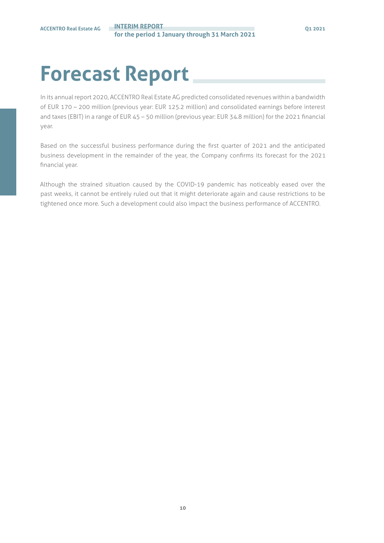## <span id="page-9-0"></span>**Forecast Report**

In its annual report 2020, ACCENTRO Real Estate AG predicted consolidated revenues within a bandwidth of EUR 170 – 200 million (previous year: EUR 125.2 million) and consolidated earnings before interest and taxes (EBIT) in a range of EUR 45 – 50 million (previous year: EUR 34.8 million) for the 2021 financial year.

Based on the successful business performance during the first quarter of 2021 and the anticipated business development in the remainder of the year, the Company confirms its forecast for the 2021 financial year.

Although the strained situation caused by the COVID-19 pandemic has noticeably eased over the past weeks, it cannot be entirely ruled out that it might deteriorate again and cause restrictions to be tightened once more. Such a development could also impact the business performance of ACCENTRO.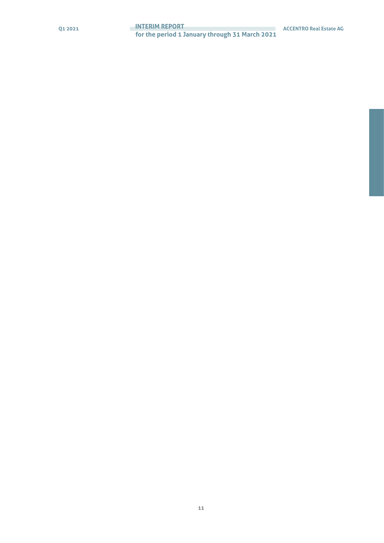**11**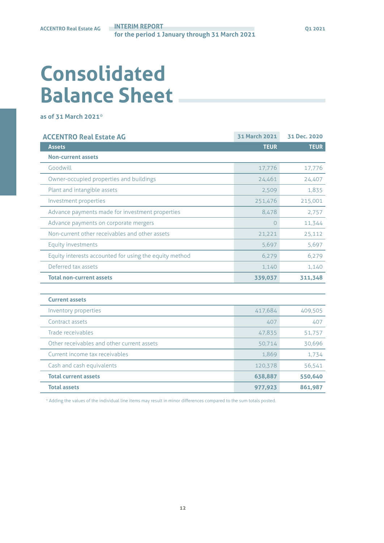## <span id="page-11-0"></span>**Consolidated Balance Sheet**

**as of 31 March 2021\***

| <b>ACCENTRO Real Estate AG</b>                         | 31 March 2021 | 31 Dec. 2020 |
|--------------------------------------------------------|---------------|--------------|
| <b>Assets</b>                                          | <b>TEUR</b>   | <b>TEUR</b>  |
| <b>Non-current assets</b>                              |               |              |
| Goodwill                                               | 17,776        | 17,776       |
| Owner-occupied properties and buildings                | 24,461        | 24,407       |
| Plant and intangible assets                            | 2,509         | 1,835        |
| Investment properties                                  | 251,476       | 215,001      |
| Advance payments made for investment properties        | 8,478         | 2,757        |
| Advance payments on corporate mergers                  | $\circ$       | 11,344       |
| Non-current other receivables and other assets         | 21,221        | 25,112       |
| Equity investments                                     | 5,697         | 5,697        |
| Equity interests accounted for using the equity method | 6,279         | 6,279        |
| Deferred tax assets                                    | 1,140         | 1,140        |
| <b>Total non-current assets</b>                        | 339,037       | 311,348      |
|                                                        |               |              |
| <b>Current assets</b>                                  |               |              |
| Inventory properties                                   | 417,684       | 409,505      |
| Contract assets                                        | 407           | 407          |
| Trade receivables                                      | 47,835        | 51,757       |
| Other receivables and other current assets             | 50,714        | 30,696       |
| Current income tax receivables                         | 1,869         | 1,734        |
| Cash and cash equivalents                              | 120,378       | 56,541       |
| <b>Total current assets</b>                            | 638,887       | 550,640      |
| <b>Total assets</b>                                    | 977,923       | 861,987      |

\* Adding the values of the individual line items may result in minor differences compared to the sum totals posted.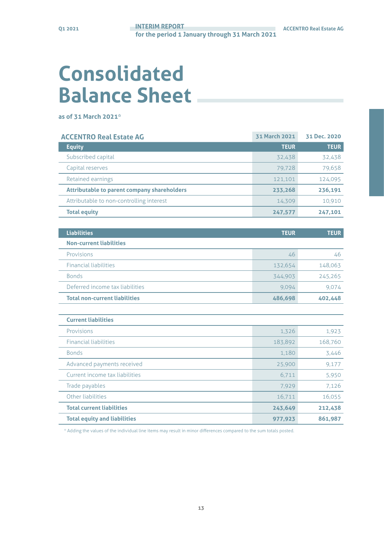## **Consolidated Balance Sheet**

**as of 31 March 2021\***

| <b>ACCENTRO Real Estate AG</b>              | 31 March 2021 | 31 Dec. 2020 |
|---------------------------------------------|---------------|--------------|
| <b>Equity</b>                               | <b>TEUR</b>   | <b>TEUR</b>  |
| Subscribed capital                          | 32,438        | 32,438       |
| Capital reserves                            | 79.728        | 79,658       |
| Retained earnings                           | 121,101       | 124,095      |
| Attributable to parent company shareholders | 233,268       | 236,191      |
| Attributable to non-controlling interest    | 14.309        | 10,910       |
| <b>Total equity</b>                         | 247,577       | 247.101      |

| <b>Liabilities</b>                   | <b>TEUR</b> | <b>TEUR</b> |
|--------------------------------------|-------------|-------------|
| <b>Non-current liabilities</b>       |             |             |
| Provisions                           | 46          | 46          |
| <b>Financial liabilities</b>         | 132,654     | 148,063     |
| <b>Bonds</b>                         | 344,903     | 245,265     |
| Deferred income tax liabilities      | 9,094       | 9.074       |
| <b>Total non-current liabilities</b> | 486,698     | 402,448     |

| <b>Current liabilities</b>          |         |         |
|-------------------------------------|---------|---------|
| Provisions                          | 1,326   | 1,923   |
| <b>Financial liabilities</b>        | 183,892 | 168.760 |
| <b>Bonds</b>                        | 1,180   | 3,446   |
| Advanced payments received          | 25,900  | 9.177   |
| Current income tax liabilities      | 6,711   | 5,950   |
| Trade payables                      | 7,929   | 7,126   |
| Other liabilities                   | 16,711  | 16,055  |
| <b>Total current liabilities</b>    | 243,649 | 212,438 |
| <b>Total equity and liabilities</b> | 977,923 | 861.987 |

\* Adding the values of the individual line items may result in minor differences compared to the sum totals posted.

#### **13**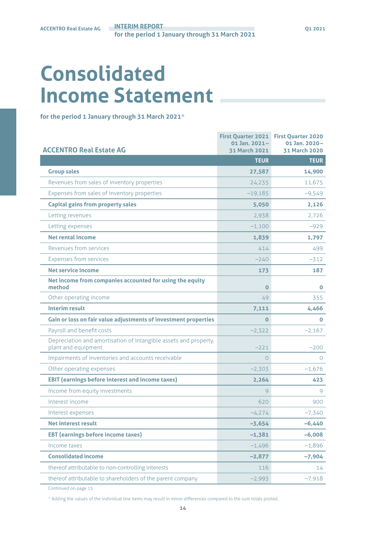## <span id="page-13-0"></span>**Consolidated Income Statement**

**for the period 1 January through 31 March 2021\***

| <b>ACCENTRO Real Estate AG</b>                                                          | 01 Jan. $2021 -$<br>31 March 2021 | First Quarter 2021 First Quarter 2020<br>$01$ Jan. $2020 -$<br>31 March 2020 |
|-----------------------------------------------------------------------------------------|-----------------------------------|------------------------------------------------------------------------------|
|                                                                                         | <b>TEUR</b>                       | <b>TEUR</b>                                                                  |
| <b>Group sales</b>                                                                      | 27,587                            | 14,900                                                                       |
| Revenues from sales of inventory properties                                             | 24,235                            | 11,675                                                                       |
| Expenses from sales of inventory properties                                             | $-19,185$                         | $-9,549$                                                                     |
| <b>Capital gains from property sales</b>                                                | 5,050                             | 2,126                                                                        |
| Letting revenues                                                                        | 2,938                             | 2,726                                                                        |
| Letting expenses                                                                        | $-1,100$                          | $-929$                                                                       |
| <b>Net rental income</b>                                                                | 1,839                             | 1,797                                                                        |
| Revenues from services                                                                  | 414                               | 499                                                                          |
| <b>Expenses from services</b>                                                           | $-240$                            | $-312$                                                                       |
| <b>Net service income</b>                                                               | 173                               | 187                                                                          |
| Net income from companies accounted for using the equity<br>method                      | $\mathbf 0$                       | 0                                                                            |
| Other operating income                                                                  | 49                                | 355                                                                          |
| <b>Interim result</b>                                                                   | 7,111                             | 4,466                                                                        |
| Gain or loss on fair value adjustments of investment properties                         | $\mathbf 0$                       | 0                                                                            |
| Payroll and benefit costs                                                               | $-2,322$                          | $-2,167$                                                                     |
| Depreciation and amortisation of intangible assets and property,<br>plant and equipment | $-221$                            | $-200$                                                                       |
| Impairments of inventories and accounts receivable                                      | $\circ$                           | 0                                                                            |
| Other operating expenses                                                                | $-2,303$                          | $-1,676$                                                                     |
| <b>EBIT</b> (earnings before interest and income taxes)                                 | 2,264                             | 423                                                                          |
| Income from equity investments                                                          | 9                                 | 9                                                                            |
| Interest income                                                                         | 620                               | 900                                                                          |
| Interest expenses                                                                       | $-4,274$                          | $-7,340$                                                                     |
| <b>Net interest result</b>                                                              | $-3,654$                          | $-6,440$                                                                     |
| <b>EBT</b> (earnings before income taxes)                                               | $-1,381$                          | $-6,008$                                                                     |
| Income taxes                                                                            | $-1,496$                          | $-1,896$                                                                     |
| <b>Consolidated income</b>                                                              | $-2,877$                          | $-7,904$                                                                     |
| thereof attributable to non-controlling interests                                       | 116                               | 14                                                                           |
| thereof attributable to shareholders of the parent company                              | $-2,993$                          | $-7,918$                                                                     |

Continued on page 15

\* Adding the values of the individual line items may result in minor differences compared to the sum totals posted.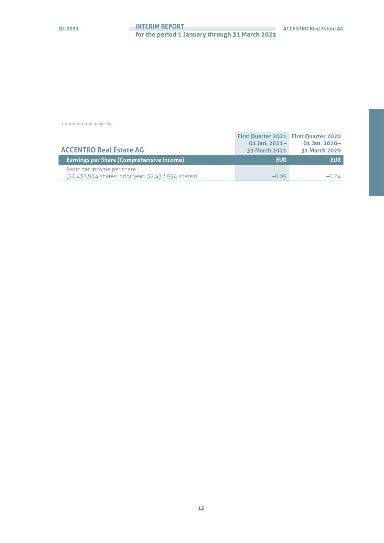**Q1 2021 ACCENTRO Real Estate AG for the period 1 January through 31 March 2021 INTERIM REPORT**

Continued from page 14

| <b>ACCENTRO Real Estate AG</b>                                                   | 01 Jan. $2021 -$<br>31 March 2021 | First Quarter 2021 First Quarter 2020<br>01 Jan. $2020 -$<br>31 March 2020 |
|----------------------------------------------------------------------------------|-----------------------------------|----------------------------------------------------------------------------|
| <b>Earnings per Share (Comprehensive Income)</b>                                 | <b>EUR</b>                        | <b>EUR</b>                                                                 |
| Basic net income per share<br>(32,437,934 shares; prior year: 32,437,934 shares) | $-0.09$                           | $-0.24$                                                                    |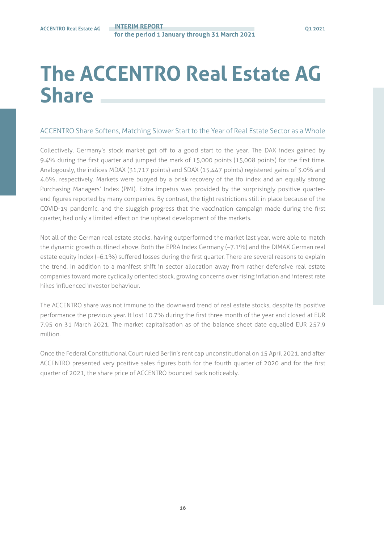## <span id="page-15-0"></span>**The ACCENTRO Real Estate AG Share**

### ACCENTRO Share Softens, Matching Slower Start to the Year of Real Estate Sector as a Whole

Collectively, Germany's stock market got off to a good start to the year. The DAX index gained by 9.4% during the first quarter and jumped the mark of 15,000 points (15,008 points) for the first time. Analogously, the indices MDAX (31,717 points) and SDAX (15,447 points) registered gains of 3.0% and 4.6%, respectively. Markets were buoyed by a brisk recovery of the ifo index and an equally strong Purchasing Managers' Index (PMI). Extra impetus was provided by the surprisingly positive quarterend figures reported by many companies. By contrast, the tight restrictions still in place because of the COVID-19 pandemic, and the sluggish progress that the vaccination campaign made during the first quarter, had only a limited effect on the upbeat development of the markets.

Not all of the German real estate stocks, having outperformed the market last year, were able to match the dynamic growth outlined above. Both the EPRA Index Germany (–7.1%) and the DIMAX German real estate equity index (–6.1%) suffered losses during the first quarter. There are several reasons to explain the trend. In addition to a manifest shift in sector allocation away from rather defensive real estate companies toward more cyclically oriented stock, growing concerns over rising inflation and interest rate hikes influenced investor behaviour.

The ACCENTRO share was not immune to the downward trend of real estate stocks, despite its positive performance the previous year. It lost 10.7% during the first three month of the year and closed at EUR 7.95 on 31 March 2021. The market capitalisation as of the balance sheet date equalled EUR 257.9 million.

Once the Federal Constitutional Court ruled Berlin's rent cap unconstitutional on 15 April 2021, and after ACCENTRO presented very positive sales figures both for the fourth quarter of 2020 and for the first quarter of 2021, the share price of ACCENTRO bounced back noticeably.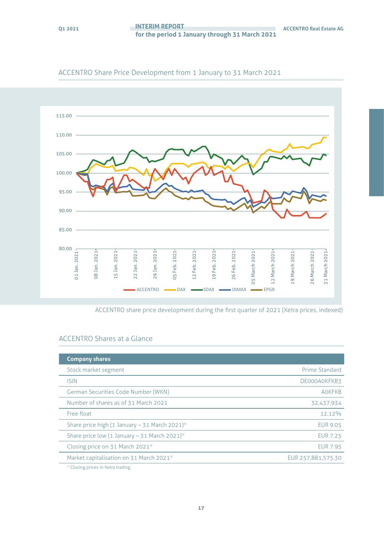



ACCENTRO share price development during the first quarter of 2021 (Xetra prices, indexed)

### ACCENTRO Shares at a Glance

| <b>Company shares</b>                                                                                                                                                                                                           |                    |
|---------------------------------------------------------------------------------------------------------------------------------------------------------------------------------------------------------------------------------|--------------------|
| Stock market segment                                                                                                                                                                                                            | Prime Standard     |
| <b>ISIN</b>                                                                                                                                                                                                                     | DE000A0KFKB3       |
| German Securities Code Number (WKN)                                                                                                                                                                                             | <b>AOKFKB</b>      |
| Number of shares as of 31 March 2021                                                                                                                                                                                            | 32,437,934         |
| Free float                                                                                                                                                                                                                      | 12.12%             |
| Share price high (1 January - 31 March 2021)*                                                                                                                                                                                   | <b>EUR 9.05</b>    |
| Share price low $(1 \text{ January} - 31 \text{ March } 2021)^*$                                                                                                                                                                | <b>EUR 7.25</b>    |
| Closing price on 31 March 2021*                                                                                                                                                                                                 | <b>EUR 7.95</b>    |
| Market capitalisation on 31 March 2021*                                                                                                                                                                                         | EUR 257,881,575.30 |
| $\sim$ 2008 . The contract of the contract of the contract of the contract of the contract of the contract of the contract of the contract of the contract of the contract of the contract of the contract of the contract of t |                    |

\* Closing prices in Xetra trading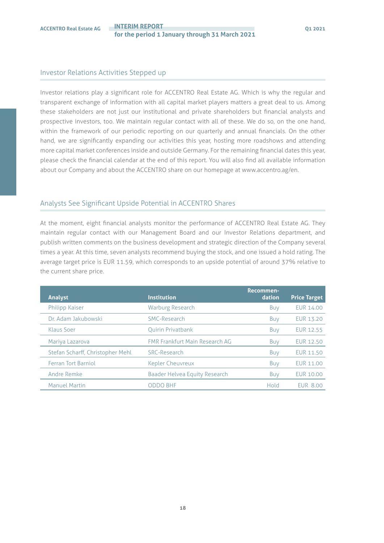### Investor Relations Activities Stepped up

Investor relations play a significant role for ACCENTRO Real Estate AG. Which is why the regular and transparent exchange of information with all capital market players matters a great deal to us. Among these stakeholders are not just our institutional and private shareholders but financial analysts and prospective investors, too. We maintain regular contact with all of these. We do so, on the one hand, within the framework of our periodic reporting on our quarterly and annual financials. On the other hand, we are significantly expanding our activities this year, hosting more roadshows and attending more capital market conferences inside and outside Germany. For the remaining financial dates this year, please check the financial calendar at the end of this report. You will also find all available information about our Company and about the ACCENTRO share on our homepage at www.accentro.ag/en.

### Analysts See Significant Upside Potential in ACCENTRO Shares

At the moment, eight financial analysts monitor the performance of ACCENTRO Real Estate AG. They maintain regular contact with our Management Board and our Investor Relations department, and publish written comments on the business development and strategic direction of the Company several times a year. At this time, seven analysts recommend buying the stock, and one issued a hold rating. The average target price is EUR 11.59, which corresponds to an upside potential of around 37% relative to the current share price.

| Analyst                          | <b>Institution</b>                    | Recommen-<br>dation | <b>Price Target</b> |
|----------------------------------|---------------------------------------|---------------------|---------------------|
| Philipp Kaiser                   | Warburg Research                      | Buy                 | <b>EUR 14.00</b>    |
| Dr. Adam Jakubowski              | SMC-Research                          | Buy                 | EUR 13.20           |
| Klaus Soer                       | <b>Ouirin Privatbank</b>              | Buy                 | <b>EUR 12.55</b>    |
| Mariya Lazarova                  | <b>FMR Frankfurt Main Research AG</b> | Buy                 | <b>EUR 12.50</b>    |
| Stefan Scharff, Christopher Mehl | SRC-Research                          | Buy                 | <b>EUR 11.50</b>    |
| Ferran Tort Barniol              | <b>Kepler Cheuvreux</b>               | Buy                 | <b>EUR 11.00</b>    |
| Andre Remke                      | Baader Helvea Equity Research         | Buy                 | <b>EUR 10.00</b>    |
| <b>Manuel Martin</b>             | <b>ODDO BHF</b>                       | Hold                | <b>EUR 8.00</b>     |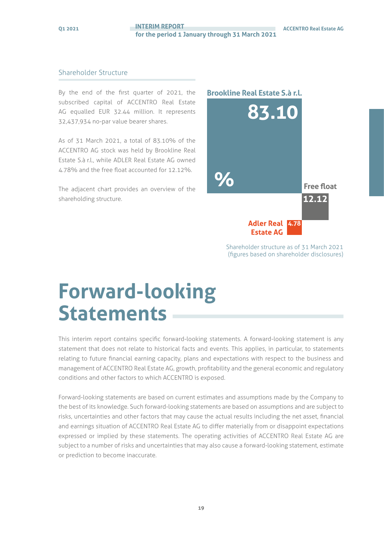### Shareholder Structure

By the end of the first quarter of 2021, the subscribed capital of ACCENTRO Real Estate AG equalled EUR 32.44 million. It represents 32,437,934 no-par value bearer shares.

As of 31 March 2021, a total of 83.10% of the ACCENTRO AG stock was held by Brookline Real Estate S.à r.l., while ADLER Real Estate AG owned 4.78% and the free float accounted for 12.12%.

The adjacent chart provides an overview of the shareholding structure.



Shareholder structure as of 31 March 2021 (figures based on shareholder disclosures)

## <span id="page-18-0"></span>**Forward-looking Statements**

This interim report contains specific forward-looking statements. A forward-looking statement is any statement that does not relate to historical facts and events. This applies, in particular, to statements relating to future financial earning capacity, plans and expectations with respect to the business and management of ACCENTRO Real Estate AG, growth, profitability and the general economic and regulatory conditions and other factors to which ACCENTRO is exposed.

Forward-looking statements are based on current estimates and assumptions made by the Company to the best of its knowledge. Such forward-looking statements are based on assumptions and are subject to risks, uncertainties and other factors that may cause the actual results including the net asset, financial and earnings situation of ACCENTRO Real Estate AG to differ materially from or disappoint expectations expressed or implied by these statements. The operating activities of ACCENTRO Real Estate AG are subject to a number of risks and uncertainties that may also cause a forward-looking statement, estimate or prediction to become inaccurate.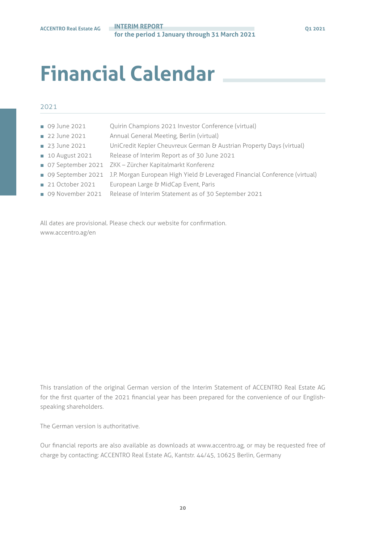## <span id="page-19-0"></span>**Financial Calendar**

### 2021

- 09 June 2021 Quirin Champions 2021 Investor Conference (virtual)
- 22 June 2021 Annual General Meeting, Berlin (virtual)
- 23 June 2021 UniCredit Kepler Cheuvreux German & Austrian Property Days (virtual)
- 10 August 2021 Release of Interim Report as of 30 June 2021
- 07 September 2021 ZKK Zürcher Kapitalmarkt Konferenz
- 09 September 2021 J.P. Morgan European High Yield & Leveraged Financial Conference (virtual)
- 21 October 2021 European Large & MidCap Event, Paris
- 09 November 2021 Release of Interim Statement as of 30 September 2021

All dates are provisional. Please check our website for confirmation. www.accentro.ag/en

This translation of the original German version of the Interim Statement of ACCENTRO Real Estate AG for the first quarter of the 2021 financial year has been prepared for the convenience of our Englishspeaking shareholders.

The German version is authoritative.

Our financial reports are also available as downloads at www.accentro.ag, or may be requested free of charge by contacting: ACCENTRO Real Estate AG, Kantstr. 44/45, 10625 Berlin, Germany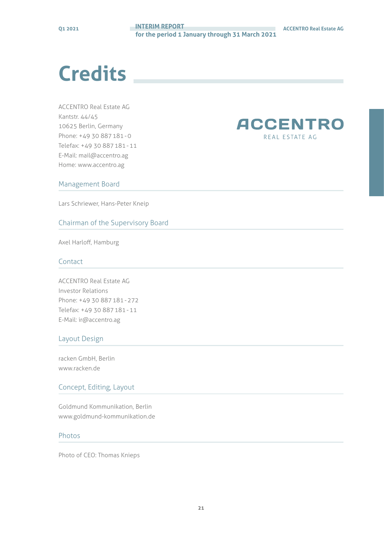## <span id="page-20-0"></span>**Credits**

ACCENTRO Real Estate AG Kantstr. 44/45 10625 Berlin, Germany Phone: +49 30 887181-0 Telefax: +49 30 887181-11 E-Mail: mail@accentro.ag Home: www.accentro.ag



Management Board

Lars Schriewer, Hans-Peter Kneip

### Chairman of the Supervisory Board

Axel Harloff, Hamburg

### Contact

ACCENTRO Real Estate AG Investor Relations Phone: +49 30 887181-272 Telefax: +49 30 887181-11 E-Mail: ir@accentro.ag

### Layout Design

racken GmbH, Berlin www.racken.de

### Concept, Editing, Layout

Goldmund Kommunikation, Berlin www.goldmund-kommunikation.de

### Photos

Photo of CEO: Thomas Knieps